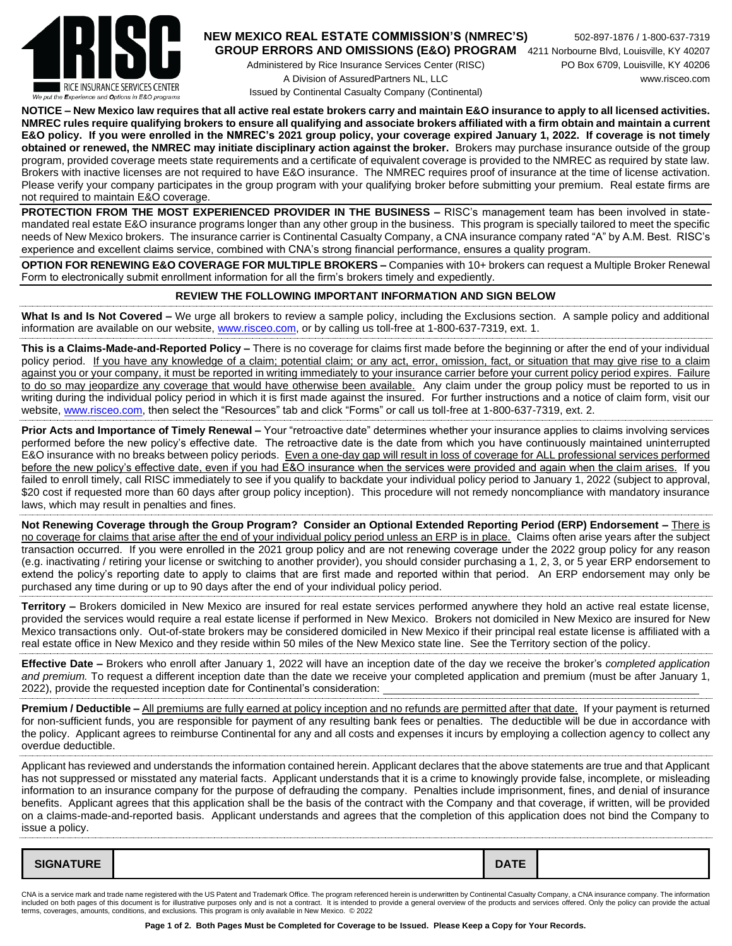

## **NEW MEXICO REAL ESTATE COMMISSION'S (NMREC'S)** 502-897-1876 / 1-800-637-7319 **GROUP ERRORS AND OMISSIONS (E&O) PROGRAM** 4211 Norbourne Blvd, Louisville, KY 40207

Administered by Rice Insurance Services Center (RISC) PO Box 6709, Louisville, KY 40206 A Division of AssuredPartners NL, LLC www.risceo.com Issued by Continental Casualty Company (Continental)

**NOTICE – New Mexico law requires that all active real estate brokers carry and maintain E&O insurance to apply to all licensed activities. NMREC rules require qualifying brokers to ensure all qualifying and associate brokers affiliated with a firm obtain and maintain a current E&O policy. If you were enrolled in the NMREC's 2021 group policy, your coverage expired January 1, 2022. If coverage is not timely obtained or renewed, the NMREC may initiate disciplinary action against the broker.** Brokers may purchase insurance outside of the group program, provided coverage meets state requirements and a certificate of equivalent coverage is provided to the NMREC as required by state law. Brokers with inactive licenses are not required to have E&O insurance. The NMREC requires proof of insurance at the time of license activation. Please verify your company participates in the group program with your qualifying broker before submitting your premium.Real estate firms are not required to maintain E&O coverage.

**PROTECTION FROM THE MOST EXPERIENCED PROVIDER IN THE BUSINESS –** RISC's management team has been involved in statemandated real estate E&O insurance programs longer than any other group in the business. This program is specially tailored to meet the specific needs of New Mexico brokers. The insurance carrier is Continental Casualty Company, a CNA insurance company rated "A" by A.M. Best. RISC's experience and excellent claims service, combined with CNA's strong financial performance, ensures a quality program.

**OPTION FOR RENEWING E&O COVERAGE FOR MULTIPLE BROKERS –** Companies with 10+ brokers can request a Multiple Broker Renewal Form to electronically submit enrollment information for all the firm's brokers timely and expediently.

## **REVIEW THE FOLLOWING IMPORTANT INFORMATION AND SIGN BELOW**

**What Is and Is Not Covered –** We urge all brokers to review a sample policy, including the Exclusions section. A sample policy and additional information are available on our website, [www.risceo.com,](http://www.risceo.com/) or by calling us toll-free at 1-800-637-7319, ext. 1.

**This is a Claims-Made-and-Reported Policy –** There is no coverage for claims first made before the beginning or after the end of your individual policy period. If you have any knowledge of a claim; potential claim; or any act, error, omission, fact, or situation that may give rise to a claim against you or your company, it must be reported in writing immediately to your insurance carrier before your current policy period expires. Failure to do so may jeopardize any coverage that would have otherwise been available. Any claim under the group policy must be reported to us in writing during the individual policy period in which it is first made against the insured. For further instructions and a notice of claim form, visit our website[, www.risceo.com,](http://www.risceo.com/notice-of-claim-form) then select the "Resources" tab and click "Forms" or call us toll-free at 1-800-637-7319. ext. 2.

**Prior Acts and Importance of Timely Renewal –** Your "retroactive date" determines whether your insurance applies to claims involving services performed before the new policy's effective date. The retroactive date is the date from which you have continuously maintained uninterrupted E&O insurance with no breaks between policy periods. Even a one-day gap will result in loss of coverage for ALL professional services performed before the new policy's effective date, even if you had E&O insurance when the services were provided and again when the claim arises. If you failed to enroll timely, call RISC immediately to see if you qualify to backdate your individual policy period to January 1, 2022 (subject to approval, \$20 cost if requested more than 60 days after group policy inception). This procedure will not remedy noncompliance with mandatory insurance laws, which may result in penalties and fines.

**Not Renewing Coverage through the Group Program? Consider an Optional Extended Reporting Period (ERP) Endorsement –** There is no coverage for claims that arise after the end of your individual policy period unless an ERP is in place. Claims often arise years after the subject transaction occurred. If you were enrolled in the 2021 group policy and are not renewing coverage under the 2022 group policy for any reason (e.g. inactivating / retiring your license or switching to another provider), you should consider purchasing a 1, 2, 3, or 5 year ERP endorsement to extend the policy's reporting date to apply to claims that are first made and reported within that period. An ERP endorsement may only be purchased any time during or up to 90 days after the end of your individual policy period.

**Territory –** Brokers domiciled in New Mexico are insured for real estate services performed anywhere they hold an active real estate license, provided the services would require a real estate license if performed in New Mexico. Brokers not domiciled in New Mexico are insured for New Mexico transactions only. Out-of-state brokers may be considered domiciled in New Mexico if their principal real estate license is affiliated with a real estate office in New Mexico and they reside within 50 miles of the New Mexico state line. See the Territory section of the policy.

**Effective Date –** Brokers who enroll after January 1, 2022 will have an inception date of the day we receive the broker's *completed application and premium.* To request a different inception date than the date we receive your completed application and premium (must be after January 1, 2022), provide the requested inception date for Continental's consideration:

**Premium / Deductible** – All premiums are fully earned at policy inception and no refunds are permitted after that date. If your payment is returned for non-sufficient funds, you are responsible for payment of any resulting bank fees or penalties. The deductible will be due in accordance with the policy. Applicant agrees to reimburse Continental for any and all costs and expenses it incurs by employing a collection agency to collect any overdue deductible.

Applicant has reviewed and understands the information contained herein. Applicant declares that the above statements are true and that Applicant has not suppressed or misstated any material facts. Applicant understands that it is a crime to knowingly provide false, incomplete, or misleading information to an insurance company for the purpose of defrauding the company. Penalties include imprisonment, fines, and denial of insurance benefits. Applicant agrees that this application shall be the basis of the contract with the Company and that coverage, if written, will be provided on a claims-made-and-reported basis. Applicant understands and agrees that the completion of this application does not bind the Company to issue a policy.

| <b>SIGNATURE</b><br><b>DATE</b> |
|---------------------------------|
|---------------------------------|

CNA is a service mark and trade name registered with the US Patent and Trademark Office. The program referenced herein is underwritten by Continental Casualty Company, a CNA insurance company. The information included on both pages of this document is for illustrative purposes only and is not a contract. It is intended to provide a general overview of the products and services offered. Only the policy can provide the actual terms, coverages, amounts, conditions, and exclusions. This program is only available in New Mexico. © 2022